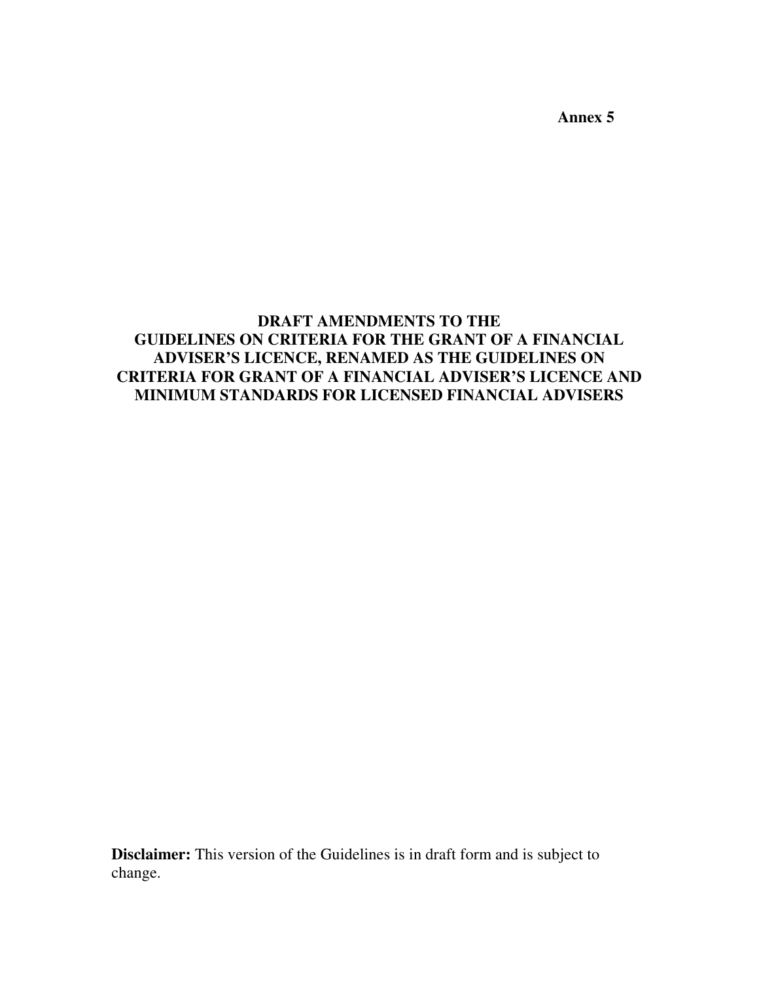**Annex 5** 

### **DRAFT AMENDMENTS TO THE GUIDELINES ON CRITERIA FOR THE GRANT OF A FINANCIAL ADVISER'S LICENCE, RENAMED AS THE GUIDELINES ON CRITERIA FOR GRANT OF A FINANCIAL ADVISER'S LICENCE AND MINIMUM STANDARDS FOR LICENSED FINANCIAL ADVISERS**

**Disclaimer:** This version of the Guidelines is in draft form and is subject to change.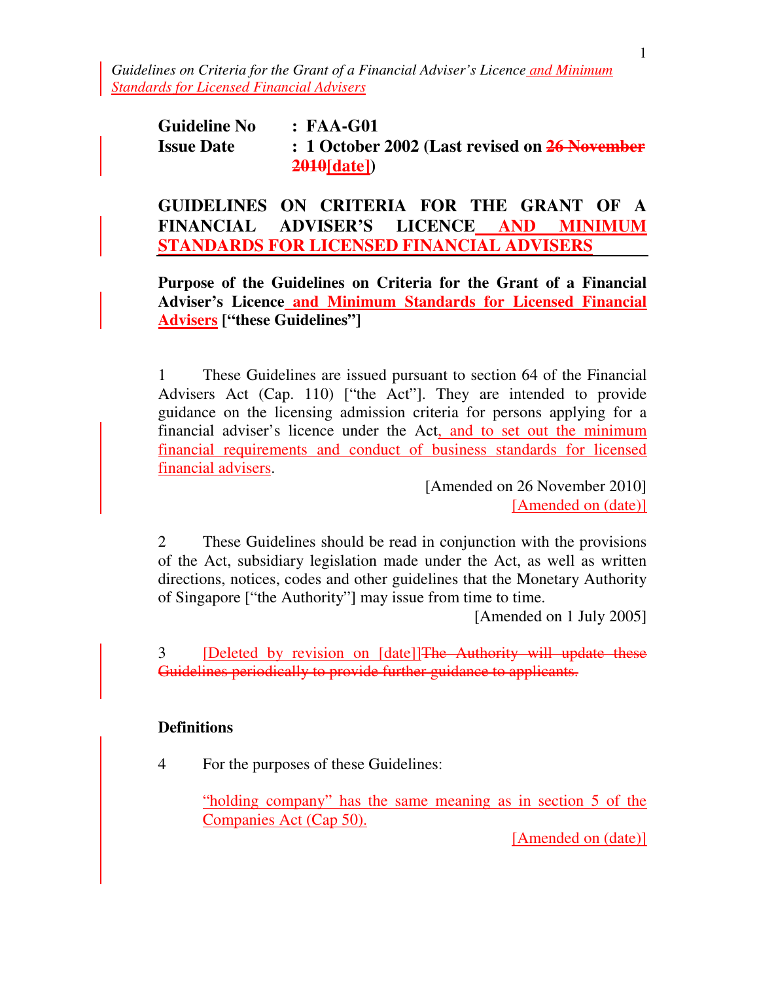*Guidelines on Criteria for the Grant of a Financial Adviser's Licence and Minimum Standards for Licensed Financial Advisers*

**Guideline No : FAA-G01 Issue Date : 1 October 2002 (Last revised on 26 November 2010[date])**

**GUIDELINES ON CRITERIA FOR THE GRANT OF A FINANCIAL ADVISER'S LICENCE AND MINIMUM STANDARDS FOR LICENSED FINANCIAL ADVISERS**

**Purpose of the Guidelines on Criteria for the Grant of a Financial Adviser's Licence and Minimum Standards for Licensed Financial Advisers ["these Guidelines"]** 

1 These Guidelines are issued pursuant to section 64 of the Financial Advisers Act (Cap. 110) ["the Act"]. They are intended to provide guidance on the licensing admission criteria for persons applying for a financial adviser's licence under the Act, and to set out the minimum financial requirements and conduct of business standards for licensed financial advisers.

> [Amended on 26 November 2010] [Amended on (date)]

2 These Guidelines should be read in conjunction with the provisions of the Act, subsidiary legislation made under the Act, as well as written directions, notices, codes and other guidelines that the Monetary Authority of Singapore ["the Authority"] may issue from time to time.

[Amended on 1 July 2005]

3 **Deleted by revision on [date]]**The Authority will update these Guidelines periodically to provide further guidance to applicants.

#### **Definitions**

4 For the purposes of these Guidelines:

"holding company" has the same meaning as in section 5 of the Companies Act (Cap 50).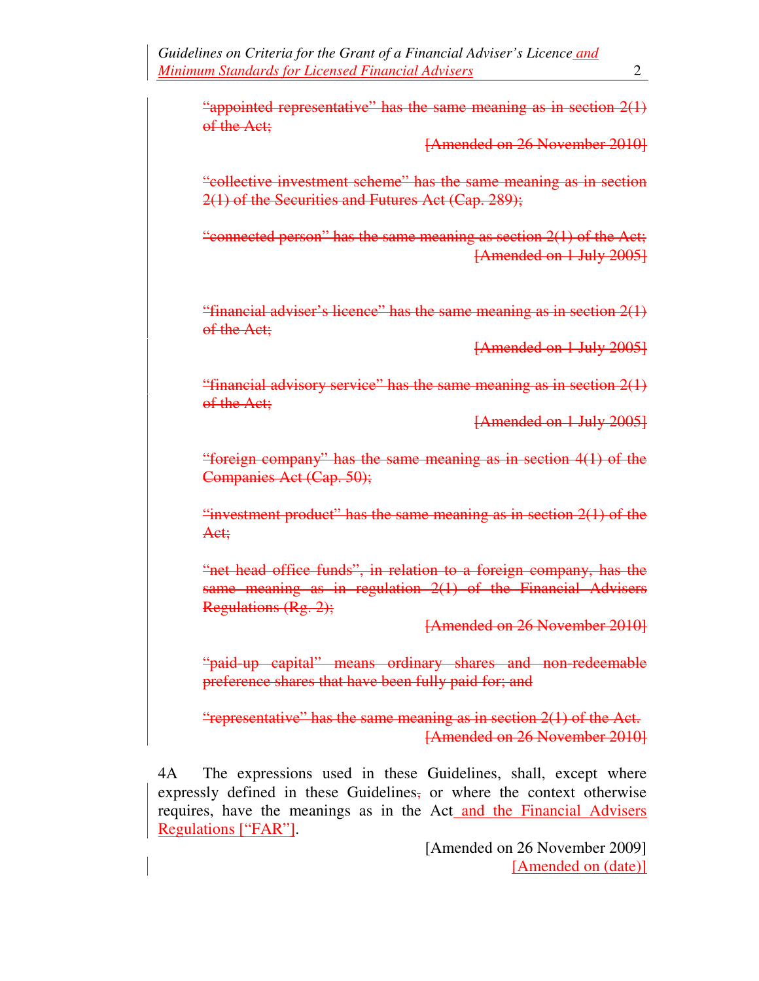"appointed representative" has the same meaning as in section  $2(1)$ of the Act:

[Amended on 26 November 2010]

"collective investment scheme" has the same meaning as in section 2(1) of the Securities and Futures Act (Cap. 289);

"connected person" has the same meaning as section 2(1) of the Act; [Amended on 1 July 2005]

"financial adviser's licence" has the same meaning as in section 2(1) of the Act:

[Amended on 1 July 2005]

"financial advisory service" has the same meaning as in section 2(1) of the Act:

[Amended on 1 July 2005]

"foreign company" has the same meaning as in section 4(1) of the Companies Act (Cap. 50);

"investment product" has the same meaning as in section 2(1) of the Act;

"net head office funds", in relation to a foreign company, has the same meaning as in regulation 2(1) of the Financial Advisers Regulations (Rg. 2);

[Amended on 26 November 2010]

"paid-up capital" means ordinary shares and non-redeemable preference shares that have been fully paid for; and

"representative" has the same meaning as in section 2(1) of the Act. [Amended on 26 November 2010]

4A The expressions used in these Guidelines, shall, except where expressly defined in these Guidelines, or where the context otherwise requires, have the meanings as in the Act and the Financial Advisers Regulations ["FAR"].

> [Amended on 26 November 2009] [Amended on (date)]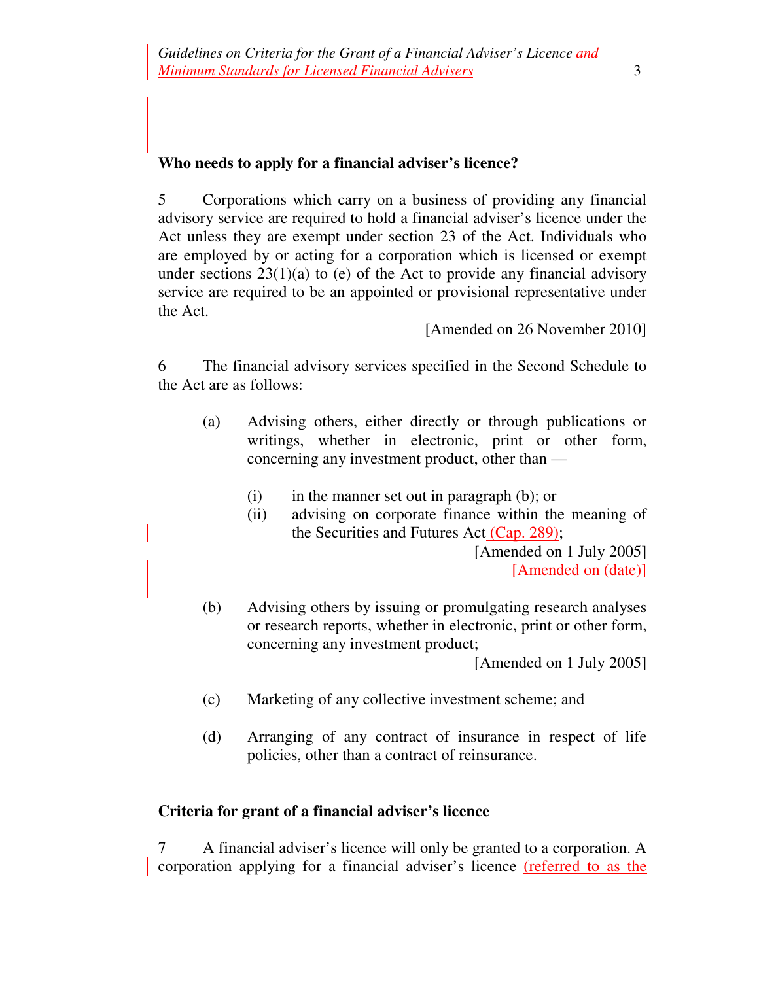#### **Who needs to apply for a financial adviser's licence?**

5 Corporations which carry on a business of providing any financial advisory service are required to hold a financial adviser's licence under the Act unless they are exempt under section 23 of the Act. Individuals who are employed by or acting for a corporation which is licensed or exempt under sections  $23(1)(a)$  to (e) of the Act to provide any financial advisory service are required to be an appointed or provisional representative under the Act.

[Amended on 26 November 2010]

6 The financial advisory services specified in the Second Schedule to the Act are as follows:

- (a) Advising others, either directly or through publications or writings, whether in electronic, print or other form, concerning any investment product, other than —
	- $(i)$  in the manner set out in paragraph  $(b)$ ; or
	- (ii) advising on corporate finance within the meaning of the Securities and Futures Act (Cap. 289);

[Amended on 1 July 2005] [Amended on (date)]

(b) Advising others by issuing or promulgating research analyses or research reports, whether in electronic, print or other form, concerning any investment product;

[Amended on 1 July 2005]

- (c) Marketing of any collective investment scheme; and
- (d) Arranging of any contract of insurance in respect of life policies, other than a contract of reinsurance.

#### **Criteria for grant of a financial adviser's licence**

7 A financial adviser's licence will only be granted to a corporation. A corporation applying for a financial adviser's licence (referred to as the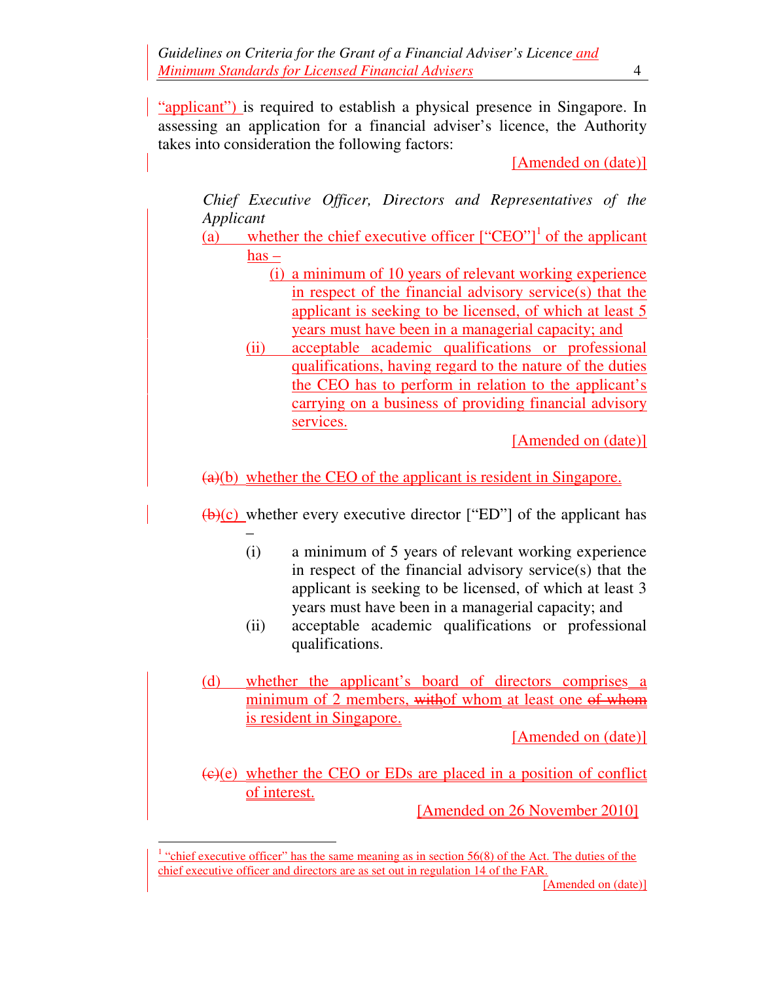"applicant") is required to establish a physical presence in Singapore. In assessing an application for a financial adviser's licence, the Authority takes into consideration the following factors:

[Amended on (date)]

*Chief Executive Officer, Directors and Representatives of the Applicant*

- (a) whether the chief executive officer  $["EBO"]$ <sup>1</sup> of the applicant  $has -$ 
	- (i) a minimum of 10 years of relevant working experience in respect of the financial advisory service(s) that the applicant is seeking to be licensed, of which at least 5 years must have been in a managerial capacity; and
	- (ii) acceptable academic qualifications or professional qualifications, having regard to the nature of the duties the CEO has to perform in relation to the applicant's carrying on a business of providing financial advisory services.

[Amended on (date)]

(a)(b) whether the CEO of the applicant is resident in Singapore.

 $(b)(c)$  whether every executive director ["ED"] of the applicant has

- (i) a minimum of 5 years of relevant working experience in respect of the financial advisory service(s) that the applicant is seeking to be licensed, of which at least 3 years must have been in a managerial capacity; and
- (ii) acceptable academic qualifications or professional qualifications.
- (d) whether the applicant's board of directors comprises a minimum of 2 members, withof whom at least one of whom is resident in Singapore.

[Amended on (date)]

 $(e)(e)$  whether the CEO or EDs are placed in a position of conflict of interest.

[Amended on 26 November 2010]

 $\overline{a}$ 

 $1$  "chief executive officer" has the same meaning as in section 56(8) of the Act. The duties of the chief executive officer and directors are as set out in regulation 14 of the FAR.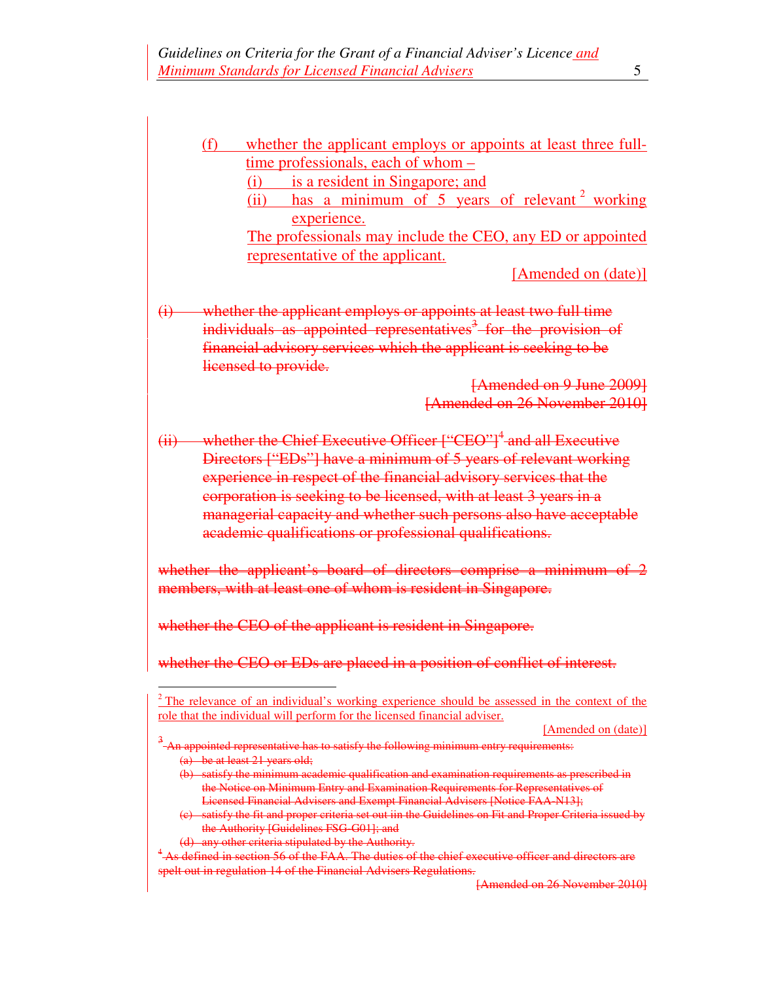(f) whether the applicant employs or appoints at least three fulltime professionals, each of whom –

(i) is a resident in Singapore; and

(ii) has a minimum of  $5$  years of relevant  $2$  working experience.

The professionals may include the CEO, any ED or appointed representative of the applicant.

[Amended on (date)]

(i) whether the applicant employs or appoints at least two full time individuals as appointed representatives<sup>3</sup> for the provision of financial advisory services which the applicant is seeking to be licensed to provide.

> [Amended on 9 June 2009] [Amended on 26 November 2010]

(ii) whether the Chief Executive Officer ["CEO"]<sup>4</sup> and all Executive Directors ["EDs"] have a minimum of 5 years of relevant working experience in respect of the financial advisory services that the corporation is seeking to be licensed, with at least 3 years in a managerial capacity and whether such persons also have acceptable academic qualifications or professional qualifications.

whether the applicant's board of directors comprise a minimum of 2 members, with at least one of whom is resident in Singapore.

whether the CEO of the applicant is resident in Singapore.

whether the CEO or EDs are placed in a position of conflict of interest.

[Amended on (date)]

3 An appointed representative has to satisfy the following minimum entry requirements: (a) be at least 21 years old;

- (b) satisfy the minimum academic qualification and examination requirements as prescribed in the Notice on Minimum Entry and Examination Requirements for Representatives of Licensed Financial Advisers and Exempt Financial Advisers [Notice FAA-N13];
- satisfy the fit and proper criteria set out iin the Guidelines on Fit and Proper Criteria issued by the Authority [Guidelines FSG-G01]; and
- (d) any other criteria stipulated by the Authority.

 $\overline{a}$ 

<sup>4</sup> As defined in section 56 of the FAA. The duties of the chief executive officer and directors are spelt out in regulation 14 of the Financial Advisers Regulations.

 $2^2$  The relevance of an individual's working experience should be assessed in the context of the role that the individual will perform for the licensed financial adviser.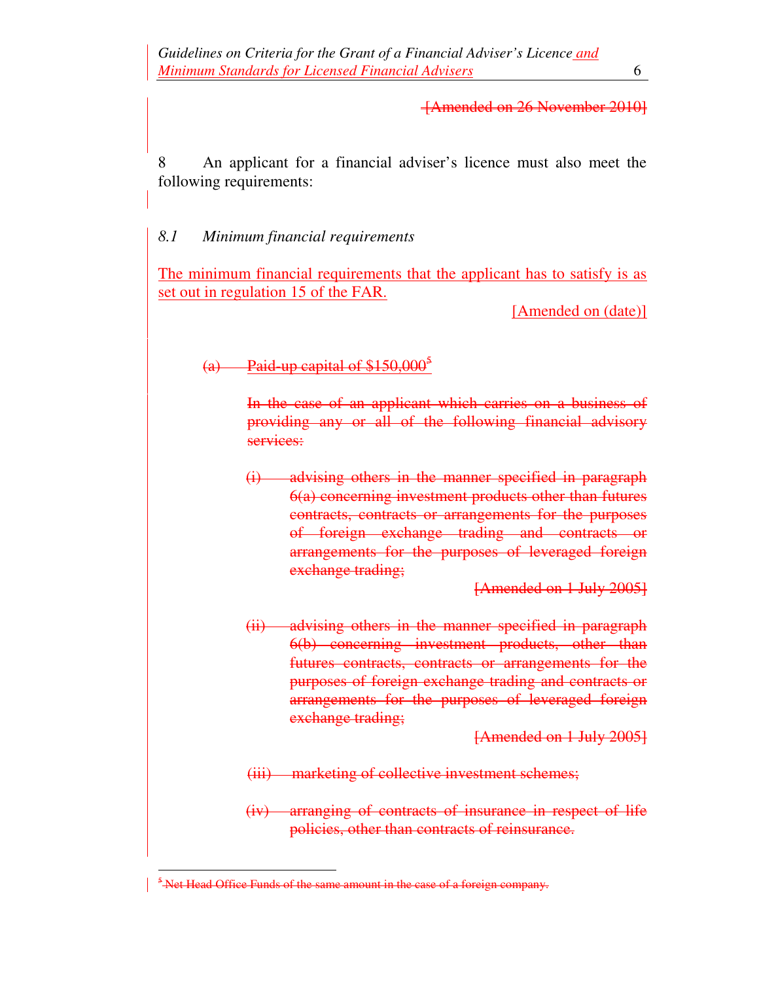#### [Amended on 26 November 2010]

8 An applicant for a financial adviser's licence must also meet the following requirements:

#### *8.1 Minimum financial requirements*

The minimum financial requirements that the applicant has to satisfy is as set out in regulation 15 of the FAR.

[Amended on (date)]

### (a) Paid-up capital of  $$150,000^5$

In the case of an applicant which carries on a business of providing any or all of the following financial advisory services:

(i) advising others in the manner specified in paragraph 6(a) concerning investment products other than futures contracts, contracts or arrangements for the purposes of foreign exchange trading and contracts or arrangements for the purposes of leveraged foreign exchange trading;

[Amended on 1 July 2005]

(ii) advising others in the manner specified in paragraph 6(b) concerning investment products, other than futures contracts, contracts or arrangements for the purposes of foreign exchange trading and contracts or arrangements for the purposes of leveraged foreign exchange trading;

[Amended on 1 July 2005]

(iii) marketing of collective investment schemes;

(iv) arranging of contracts of insurance in respect of life policies, other than contracts of reinsurance.

 $\overline{a}$ 

<sup>&</sup>lt;sup>5</sup> Net Head Office Funds of the same amount in the case of a foreign company.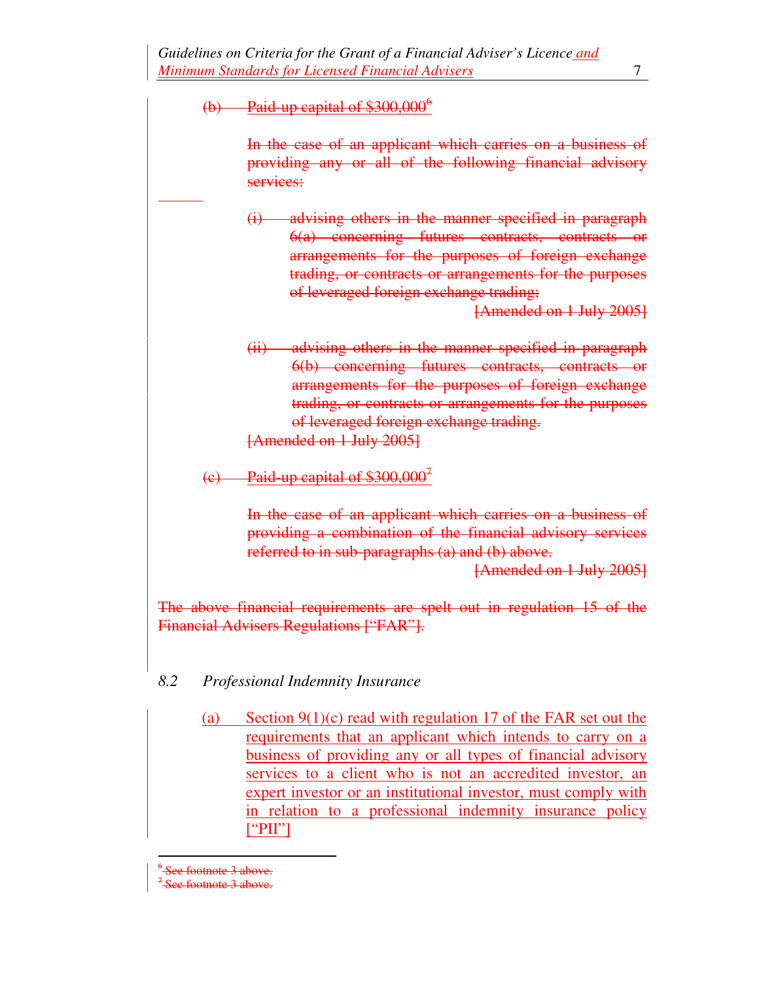### (b) Paid-up capital of  $$300,000^6$

 $\overline{a}$ 

In the case of an applicant which carries on a business of providing any or all of the following financial advisory services:

(i) advising others in the manner specified in paragraph 6(a) concerning futures contracts, contracts or arrangements for the purposes of foreign exchange trading, or contracts or arrangements for the purposes of leveraged foreign exchange trading;

[Amended on 1 July 2005]

(ii) advising others in the manner specified in paragraph 6(b) concerning futures contracts, contracts or arrangements for the purposes of foreign exchange trading, or contracts or arrangements for the purposes of leveraged foreign exchange trading. [Amended on 1 July 2005]

(c) Paid-up capital of  $$300,000^7$ 

In the case of an applicant which carries on a business of providing a combination of the financial advisory services referred to in sub-paragraphs (a) and (b) above.

[Amended on 1 July 2005]

The above financial requirements are spelt out in regulation 15 of the Financial Advisers Regulations ["FAR"].

### *8.2 Professional Indemnity Insurance*

(a) Section 9(1)(c) read with regulation 17 of the FAR set out the requirements that an applicant which intends to carry on a business of providing any or all types of financial advisory services to a client who is not an accredited investor, an expert investor or an institutional investor, must comply with in relation to a professional indemnity insurance policy  $[$ "PII"]

 $\overline{a}$ 6 ee footnote 3 above.

<sup>7</sup> See footnote 3 above.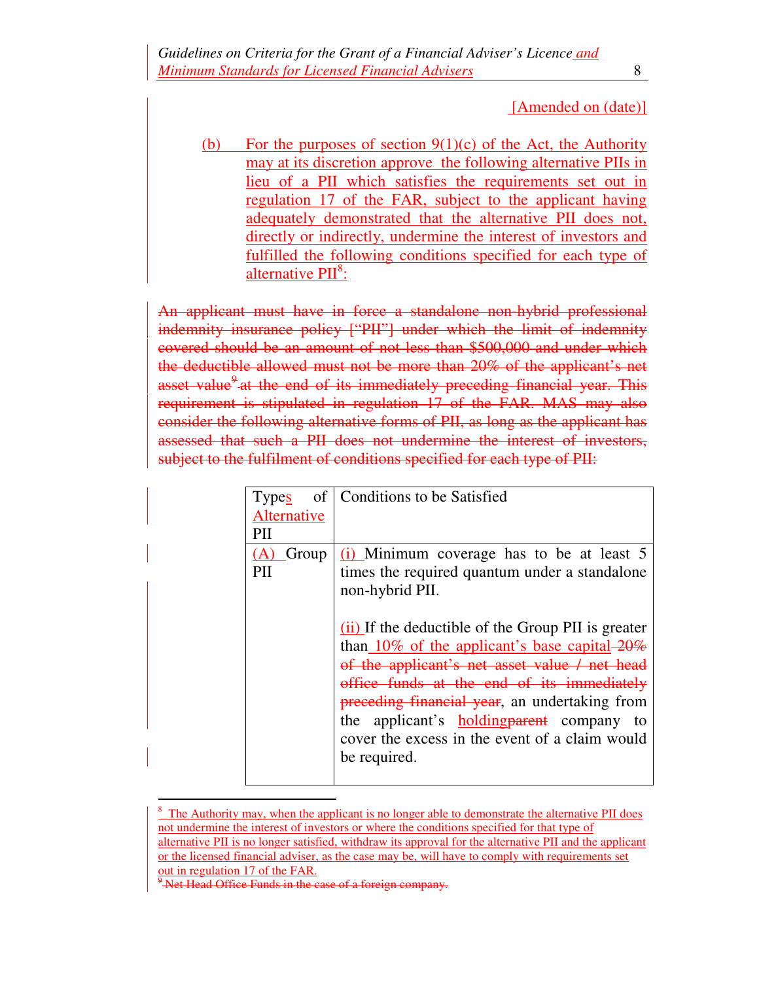#### [Amended on (date)]

(b) For the purposes of section  $9(1)(c)$  of the Act, the Authority may at its discretion approve the following alternative PIIs in lieu of a PII which satisfies the requirements set out in regulation 17 of the FAR, subject to the applicant having adequately demonstrated that the alternative PII does not, directly or indirectly, undermine the interest of investors and fulfilled the following conditions specified for each type of alternative PII<sup>8</sup>:

An applicant must have in force a standalone non-hybrid professional indemnity insurance policy ["PII"] under which the limit of indemnity covered should be an amount of not less than \$500,000 and under which the deductible allowed must not be more than 20% of the applicant's net asset value<sup>9</sup> at the end of its immediately preceding financial year. This requirement is stipulated in regulation 17 of the FAR. MAS may also consider the following alternative forms of PII, as long as the applicant has assessed that such a PII does not undermine the interest of investors, subject to the fulfilment of conditions specified for each type of PII:

| <b>Types</b>        | of   Conditions to be Satisfied                                                                                                                                                                                                                                            |
|---------------------|----------------------------------------------------------------------------------------------------------------------------------------------------------------------------------------------------------------------------------------------------------------------------|
| Alternative         |                                                                                                                                                                                                                                                                            |
| PH                  |                                                                                                                                                                                                                                                                            |
| Group<br>(A)<br>PII | $(i)$ Minimum coverage has to be at least 5<br>times the required quantum under a standalone<br>non-hybrid PII.<br>(ii) If the deductible of the Group PII is greater<br>than 10% of the applicant's base capital $-20\%$<br>of the applicant's net asset value / net head |
|                     | office funds at the end of its immediately<br>preceding financial year, an undertaking from<br>the applicant's <b>holding parent</b> company to<br>cover the excess in the event of a claim would<br>be required.                                                          |

 $8 \text{ The Authority may, when the application is no longer able to demonstrate the alternative PH does.}$ not undermine the interest of investors or where the conditions specified for that type of alternative PII is no longer satisfied, withdraw its approval for the alternative PII and the applicant or the licensed financial adviser, as the case may be, will have to comply with requirements set out in regulation 17 of the FAR.

 $\overline{a}$ 

<sup>&</sup>lt;sup>9</sup> Net Head Office Funds in the case of a foreign company.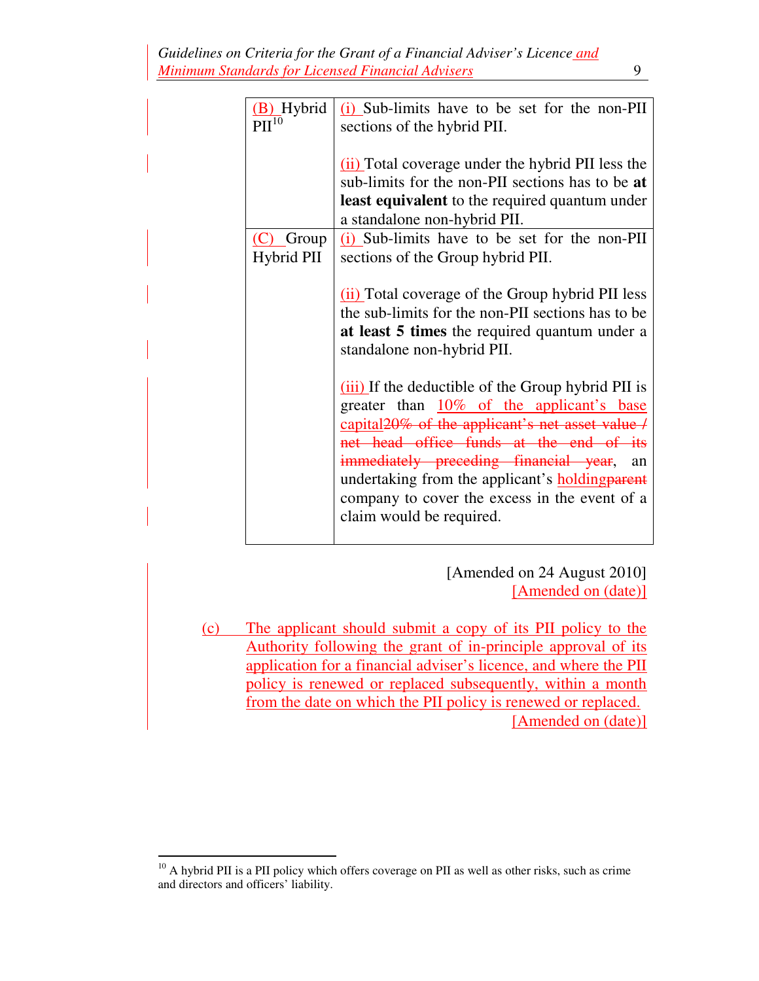| (B) Hybrid<br>$\overline{PII}^{10}$ | $(i)$ Sub-limits have to be set for the non-PII<br>sections of the hybrid PII.                                                                                                                                                                                                                                                                                                                 |
|-------------------------------------|------------------------------------------------------------------------------------------------------------------------------------------------------------------------------------------------------------------------------------------------------------------------------------------------------------------------------------------------------------------------------------------------|
|                                     | (ii) Total coverage under the hybrid PII less the<br>sub-limits for the non-PII sections has to be at<br>least equivalent to the required quantum under<br>a standalone non-hybrid PII.                                                                                                                                                                                                        |
| $(C)$ Group                         | (i) Sub-limits have to be set for the non-PII                                                                                                                                                                                                                                                                                                                                                  |
| <b>Hybrid PII</b>                   | sections of the Group hybrid PII.                                                                                                                                                                                                                                                                                                                                                              |
|                                     | (ii) Total coverage of the Group hybrid PII less<br>the sub-limits for the non-PII sections has to be<br>at least 5 times the required quantum under a<br>standalone non-hybrid PII.                                                                                                                                                                                                           |
|                                     | (iii) If the deductible of the Group hybrid PII is<br>greater than 10% of the applicant's base<br>capital <sub>20%</sub> of the applicant's net asset value /<br>net head office funds at the end of its<br>immediately preceding financial year,<br>an<br>undertaking from the applicant's <b>holding parent</b><br>company to cover the excess in the event of a<br>claim would be required. |

[Amended on 24 August 2010] [Amended on (date)]

(c) The applicant should submit a copy of its PII policy to the Authority following the grant of in-principle approval of its application for a financial adviser's licence, and where the PII policy is renewed or replaced subsequently, within a month from the date on which the PII policy is renewed or replaced. [Amended on (date)]

 $\overline{a}$  $10<sup>10</sup>$  A hybrid PII is a PII policy which offers coverage on PII as well as other risks, such as crime and directors and officers' liability.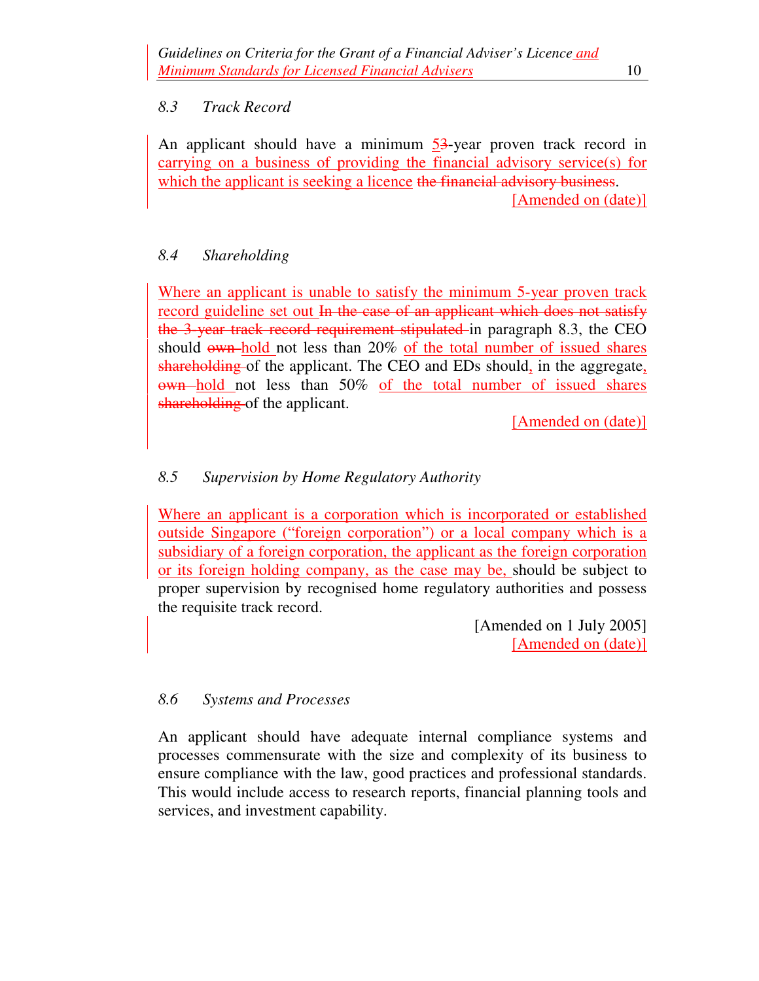### *8.3 Track Record*

An applicant should have a minimum  $\frac{53}{3}$ -year proven track record in carrying on a business of providing the financial advisory service(s) for which the applicant is seeking a licence the financial advisory business. [Amended on (date)]

# *8.4 Shareholding*

Where an applicant is unable to satisfy the minimum 5-year proven track record guideline set out In the case of an applicant which does not satisfy the 3-year track record requirement stipulated in paragraph 8.3, the CEO should own hold not less than 20% of the total number of issued shares shareholding of the applicant. The CEO and EDs should, in the aggregate, own hold not less than 50% of the total number of issued shares shareholding of the applicant.

[Amended on (date)]

# *8.5 Supervision by Home Regulatory Authority*

Where an applicant is a corporation which is incorporated or established outside Singapore ("foreign corporation") or a local company which is a subsidiary of a foreign corporation, the applicant as the foreign corporation or its foreign holding company, as the case may be, should be subject to proper supervision by recognised home regulatory authorities and possess the requisite track record.

> [Amended on 1 July 2005] [Amended on (date)]

### *8.6 Systems and Processes*

An applicant should have adequate internal compliance systems and processes commensurate with the size and complexity of its business to ensure compliance with the law, good practices and professional standards. This would include access to research reports, financial planning tools and services, and investment capability.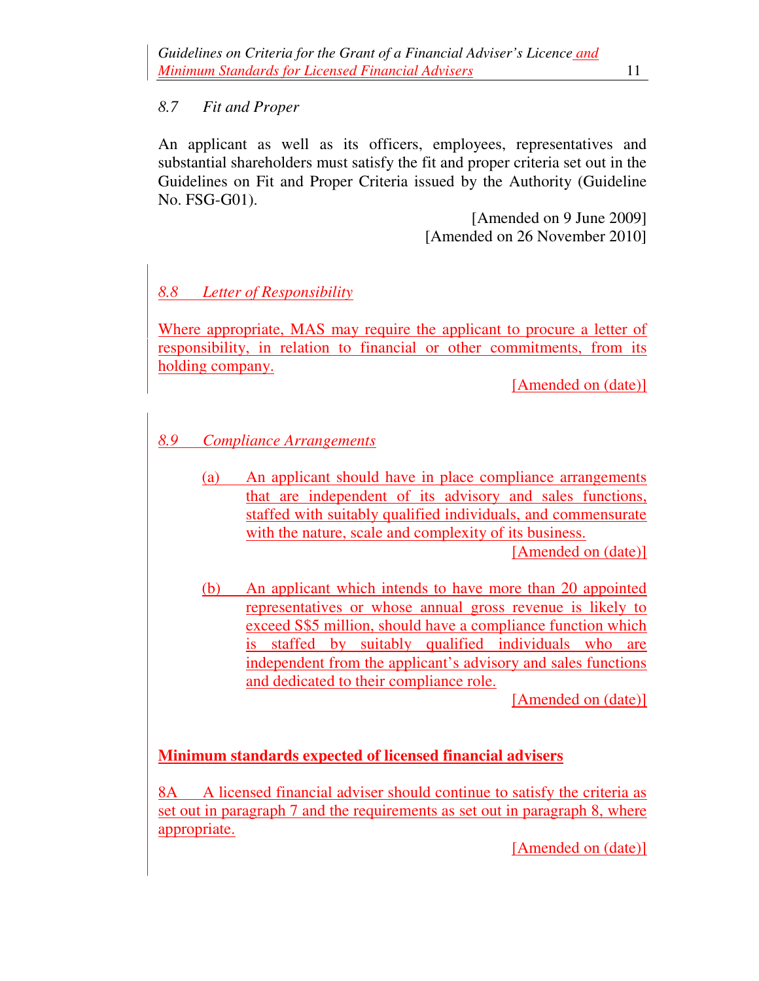#### *8.7 Fit and Proper*

An applicant as well as its officers, employees, representatives and substantial shareholders must satisfy the fit and proper criteria set out in the Guidelines on Fit and Proper Criteria issued by the Authority (Guideline No. FSG-G01).

> [Amended on 9 June 2009] [Amended on 26 November 2010]

# *8.8 Letter of Responsibility*

Where appropriate, MAS may require the applicant to procure a letter of responsibility, in relation to financial or other commitments, from its holding company.

[Amended on (date)]

# *8.9 Compliance Arrangements*

(a) An applicant should have in place compliance arrangements that are independent of its advisory and sales functions, staffed with suitably qualified individuals, and commensurate with the nature, scale and complexity of its business.

[Amended on (date)]

(b) An applicant which intends to have more than 20 appointed representatives or whose annual gross revenue is likely to exceed S\$5 million, should have a compliance function which is staffed by suitably qualified individuals who are independent from the applicant's advisory and sales functions and dedicated to their compliance role.

[Amended on (date)]

### **Minimum standards expected of licensed financial advisers**

8A A licensed financial adviser should continue to satisfy the criteria as set out in paragraph 7 and the requirements as set out in paragraph 8, where appropriate.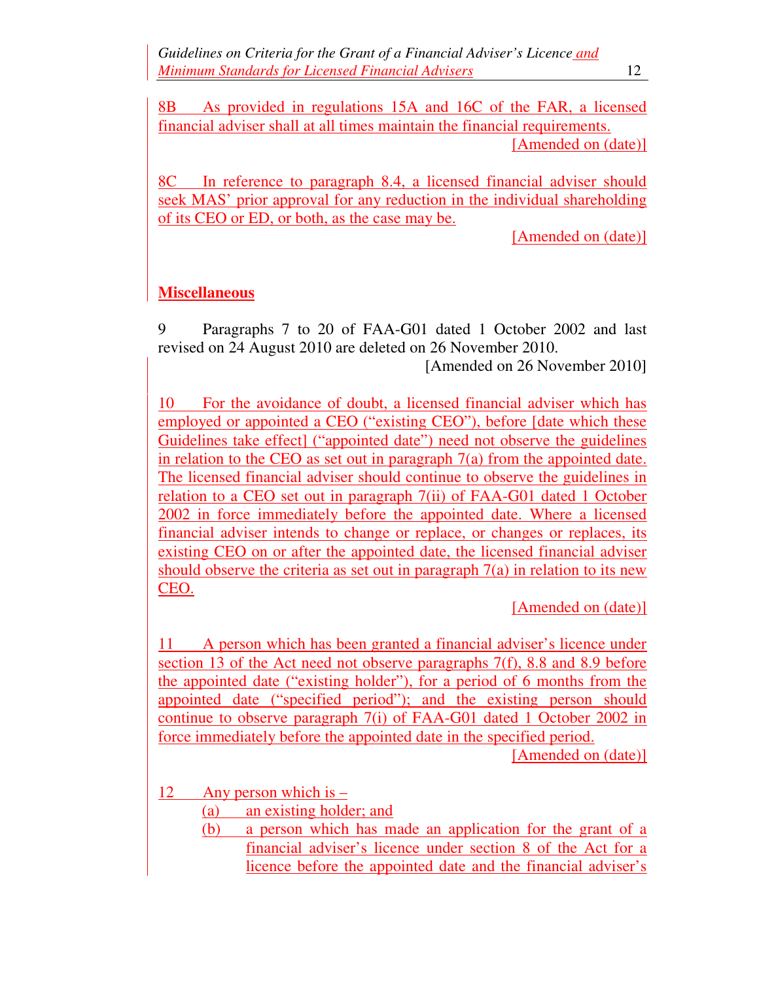8B As provided in regulations 15A and 16C of the FAR, a licensed financial adviser shall at all times maintain the financial requirements. [Amended on (date)]

8C In reference to paragraph 8.4, a licensed financial adviser should seek MAS' prior approval for any reduction in the individual shareholding of its CEO or ED, or both, as the case may be.

[Amended on (date)]

### **Miscellaneous**

9 Paragraphs 7 to 20 of FAA-G01 dated 1 October 2002 and last revised on 24 August 2010 are deleted on 26 November 2010.

[Amended on 26 November 2010]

10 For the avoidance of doubt, a licensed financial adviser which has employed or appointed a CEO ("existing CEO"), before [date which these Guidelines take effect] ("appointed date") need not observe the guidelines in relation to the CEO as set out in paragraph 7(a) from the appointed date. The licensed financial adviser should continue to observe the guidelines in relation to a CEO set out in paragraph 7(ii) of FAA-G01 dated 1 October 2002 in force immediately before the appointed date. Where a licensed financial adviser intends to change or replace, or changes or replaces, its existing CEO on or after the appointed date, the licensed financial adviser should observe the criteria as set out in paragraph 7(a) in relation to its new CEO.

[Amended on (date)]

11 A person which has been granted a financial adviser's licence under section 13 of the Act need not observe paragraphs 7(f), 8.8 and 8.9 before the appointed date ("existing holder"), for a period of 6 months from the appointed date ("specified period"); and the existing person should continue to observe paragraph 7(i) of FAA-G01 dated 1 October 2002 in force immediately before the appointed date in the specified period.

- 12 Any person which is
	- (a) an existing holder; and
	- (b) a person which has made an application for the grant of a financial adviser's licence under section 8 of the Act for a licence before the appointed date and the financial adviser's